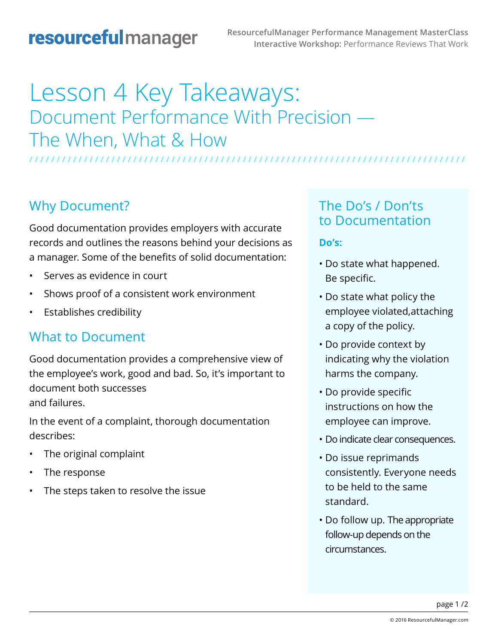## resourcefulmanager

# Lesson 4 Key Takeaways: Document Performance With Precision — The When, What & How

**/ / / / / / / / / / / / / / / / / / / / / / / / / / / / / / / / / / / / / / / / / / / / / / / / / / / / / / / / / / / / / / / / / / / / / / / / / / / / / / / /** 

### Why Document?

Good documentation provides employers with accurate records and outlines the reasons behind your decisions as a manager. Some of the benefits of solid documentation:

- Serves as evidence in court
- Shows proof of a consistent work environment
- Establishes credibility

### What to Document

Good documentation provides a comprehensive view of the employee's work, good and bad. So, it's important to document both successes and failures.

In the event of a complaint, thorough documentation describes:

- The original complaint
- The response
- The steps taken to resolve the issue

### The Do's / Don'ts to Documentation

#### **Do's:**

- Do state what happened. Be specific.
- Do state what policy the employee violated,attaching a copy of the policy.
- Do provide context by indicating why the violation harms the company.
- Do provide specific instructions on how the employee can improve.
- Do indicate clear consequences.
- Do issue reprimands consistently. Everyone needs to be held to the same standard.
- Do follow up. The appropriate follow-up depends on the circumstances.